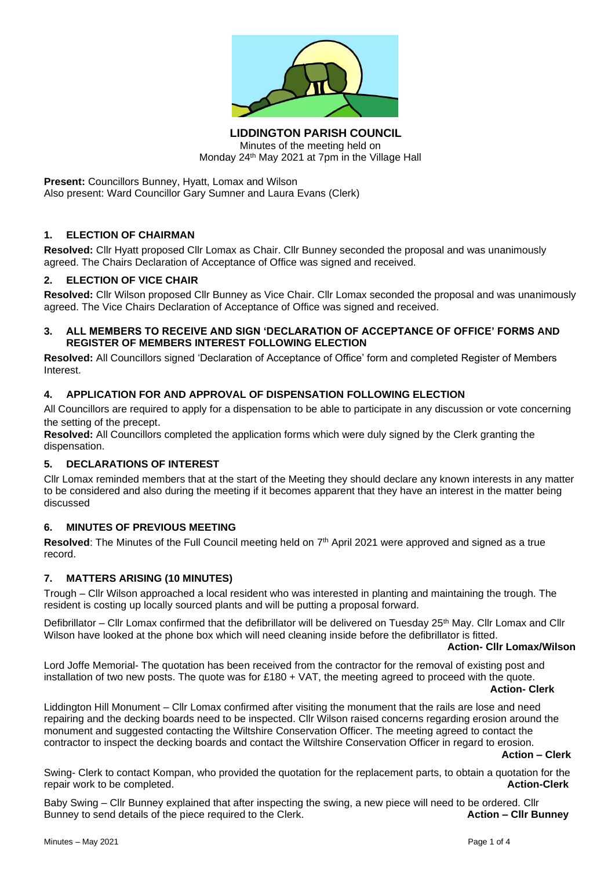

**LIDDINGTON PARISH COUNCIL** Minutes of the meeting held on Monday 24<sup>th</sup> May 2021 at 7pm in the Village Hall

**Present:** Councillors Bunney, Hyatt, Lomax and Wilson Also present: Ward Councillor Gary Sumner and Laura Evans (Clerk)

# **1. ELECTION OF CHAIRMAN**

**Resolved:** Cllr Hyatt proposed Cllr Lomax as Chair. Cllr Bunney seconded the proposal and was unanimously agreed. The Chairs Declaration of Acceptance of Office was signed and received.

## **2. ELECTION OF VICE CHAIR**

**Resolved:** Cllr Wilson proposed Cllr Bunney as Vice Chair. Cllr Lomax seconded the proposal and was unanimously agreed. The Vice Chairs Declaration of Acceptance of Office was signed and received.

#### **3. ALL MEMBERS TO RECEIVE AND SIGN 'DECLARATION OF ACCEPTANCE OF OFFICE' FORMS AND REGISTER OF MEMBERS INTEREST FOLLOWING ELECTION**

**Resolved:** All Councillors signed 'Declaration of Acceptance of Office' form and completed Register of Members Interest.

# **4. APPLICATION FOR AND APPROVAL OF DISPENSATION FOLLOWING ELECTION**

All Councillors are required to apply for a dispensation to be able to participate in any discussion or vote concerning the setting of the precept.

**Resolved:** All Councillors completed the application forms which were duly signed by the Clerk granting the dispensation.

## **5. DECLARATIONS OF INTEREST**

Cllr Lomax reminded members that at the start of the Meeting they should declare any known interests in any matter to be considered and also during the meeting if it becomes apparent that they have an interest in the matter being discussed

## **6. MINUTES OF PREVIOUS MEETING**

Resolved: The Minutes of the Full Council meeting held on 7<sup>th</sup> April 2021 were approved and signed as a true record.

## **7. MATTERS ARISING (10 MINUTES)**

Trough – Cllr Wilson approached a local resident who was interested in planting and maintaining the trough. The resident is costing up locally sourced plants and will be putting a proposal forward.

Defibrillator – Cllr Lomax confirmed that the defibrillator will be delivered on Tuesday 25<sup>th</sup> May. Cllr Lomax and Cllr Wilson have looked at the phone box which will need cleaning inside before the defibrillator is fitted.

#### **Action- Cllr Lomax/Wilson**

Lord Joffe Memorial- The quotation has been received from the contractor for the removal of existing post and installation of two new posts. The quote was for £180 + VAT, the meeting agreed to proceed with the quote.

#### **Action- Clerk**

Liddington Hill Monument – Cllr Lomax confirmed after visiting the monument that the rails are lose and need repairing and the decking boards need to be inspected. Cllr Wilson raised concerns regarding erosion around the monument and suggested contacting the Wiltshire Conservation Officer. The meeting agreed to contact the contractor to inspect the decking boards and contact the Wiltshire Conservation Officer in regard to erosion.

#### **Action – Clerk**

Swing- Clerk to contact Kompan, who provided the quotation for the replacement parts, to obtain a quotation for the repair work to be completed. **Action-Clerk**

Baby Swing – Cllr Bunney explained that after inspecting the swing, a new piece will need to be ordered. Cllr Bunney to send details of the piece required to the Clerk. **Action – Cllr Bunney**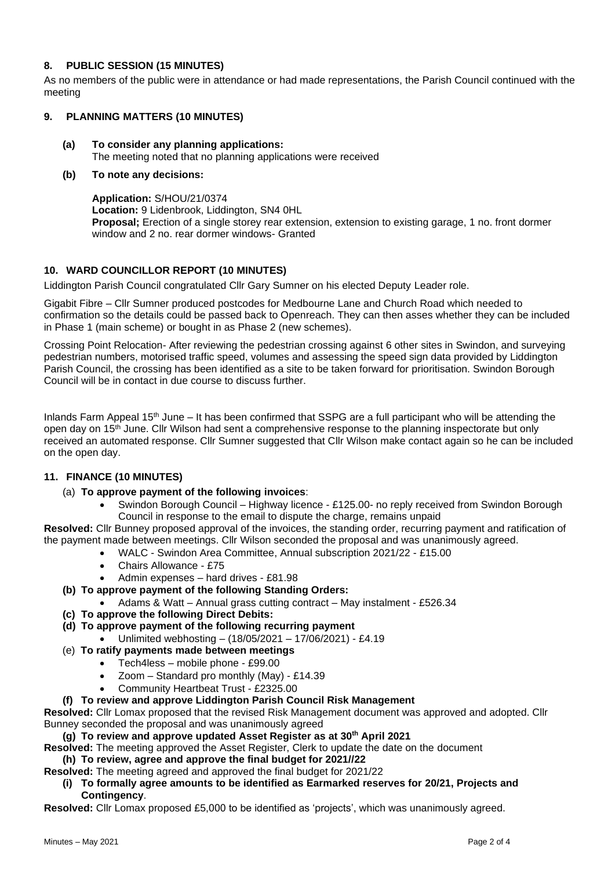## **8. PUBLIC SESSION (15 MINUTES)**

As no members of the public were in attendance or had made representations, the Parish Council continued with the meeting

#### **9. PLANNING MATTERS (10 MINUTES)**

- **(a) To consider any planning applications:** The meeting noted that no planning applications were received
- **(b) To note any decisions:**

**Application:** S/HOU/21/0374 **Location:** 9 Lidenbrook, Liddington, SN4 0HL **Proposal;** Erection of a single storey rear extension, extension to existing garage, 1 no. front dormer window and 2 no. rear dormer windows- Granted

## **10. WARD COUNCILLOR REPORT (10 MINUTES)**

Liddington Parish Council congratulated Cllr Gary Sumner on his elected Deputy Leader role.

Gigabit Fibre – Cllr Sumner produced postcodes for Medbourne Lane and Church Road which needed to confirmation so the details could be passed back to Openreach. They can then asses whether they can be included in Phase 1 (main scheme) or bought in as Phase 2 (new schemes).

Crossing Point Relocation- After reviewing the pedestrian crossing against 6 other sites in Swindon, and surveying pedestrian numbers, motorised traffic speed, volumes and assessing the speed sign data provided by Liddington Parish Council, the crossing has been identified as a site to be taken forward for prioritisation. Swindon Borough Council will be in contact in due course to discuss further.

Inlands Farm Appeal 15<sup>th</sup> June – It has been confirmed that SSPG are a full participant who will be attending the open day on 15th June. Cllr Wilson had sent a comprehensive response to the planning inspectorate but only received an automated response. Cllr Sumner suggested that Cllr Wilson make contact again so he can be included on the open day.

## **11. FINANCE (10 MINUTES)**

## (a) **To approve payment of the following invoices**:

• Swindon Borough Council – Highway licence - £125.00- no reply received from Swindon Borough Council in response to the email to dispute the charge, remains unpaid

**Resolved:** Cllr Bunney proposed approval of the invoices, the standing order, recurring payment and ratification of the payment made between meetings. Cllr Wilson seconded the proposal and was unanimously agreed.

- WALC Swindon Area Committee, Annual subscription 2021/22 £15.00
- Chairs Allowance £75
- Admin expenses hard drives £81.98

## **(b) To approve payment of the following Standing Orders:**

- Adams & Watt Annual grass cutting contract May instalment £526.34
- **(c) To approve the following Direct Debits:**
- **(d) To approve payment of the following recurring payment**
	- Unlimited webhosting (18/05/2021 17/06/2021) £4.19
- (e) **To ratify payments made between meetings**
	- Tech4less mobile phone £99.00
		- Zoom Standard pro monthly (May) £14.39
		- Community Heartbeat Trust £2325.00

#### **(f) To review and approve Liddington Parish Council Risk Management**

**Resolved:** Cllr Lomax proposed that the revised Risk Management document was approved and adopted. Cllr Bunney seconded the proposal and was unanimously agreed

#### **(g) To review and approve updated Asset Register as at 30th April 2021**

**Resolved:** The meeting approved the Asset Register, Clerk to update the date on the document

**(h) To review, agree and approve the final budget for 2021//22 Resolved:** The meeting agreed and approved the final budget for 2021/22

# **(i) To formally agree amounts to be identified as Earmarked reserves for 20/21, Projects and**

# **Contingency**.

**Resolved:** Cllr Lomax proposed £5,000 to be identified as 'projects', which was unanimously agreed.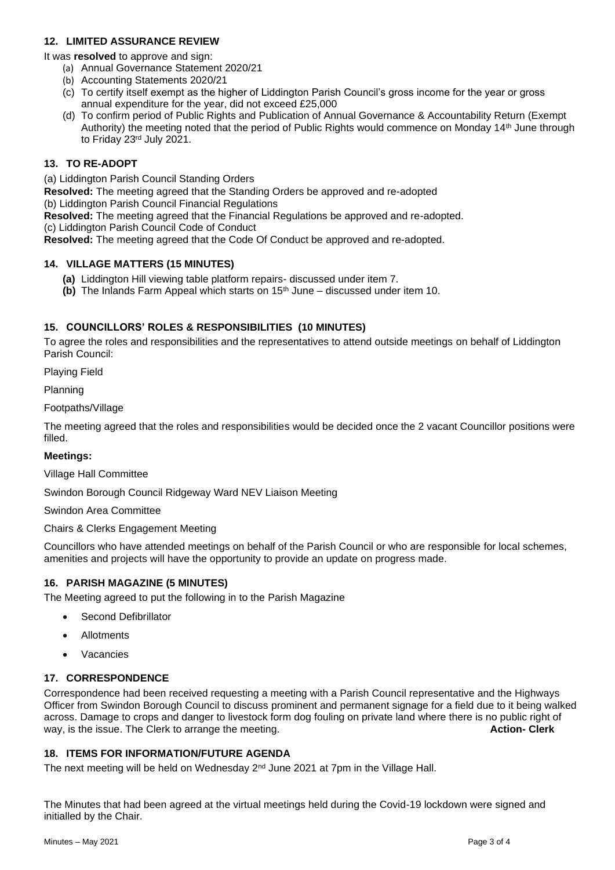#### **12. LIMITED ASSURANCE REVIEW**

It was **resolved** to approve and sign:

- (a) Annual Governance Statement 2020/21
- (b) Accounting Statements 2020/21
- (c) To certify itself exempt as the higher of Liddington Parish Council's gross income for the year or gross annual expenditure for the year, did not exceed £25,000
- (d) To confirm period of Public Rights and Publication of Annual Governance & Accountability Return (Exempt Authority) the meeting noted that the period of Public Rights would commence on Monday 14th June through to Friday 23rd July 2021.

# **13. TO RE-ADOPT**

(a) Liddington Parish Council Standing Orders

**Resolved:** The meeting agreed that the Standing Orders be approved and re-adopted

(b) Liddington Parish Council Financial Regulations

**Resolved:** The meeting agreed that the Financial Regulations be approved and re-adopted.

(c) Liddington Parish Council Code of Conduct

**Resolved:** The meeting agreed that the Code Of Conduct be approved and re-adopted.

## **14. VILLAGE MATTERS (15 MINUTES)**

- **(a)** Liddington Hill viewing table platform repairs- discussed under item 7.
- **(b)** The Inlands Farm Appeal which starts on 15th June discussed under item 10.

## **15. COUNCILLORS' ROLES & RESPONSIBILITIES (10 MINUTES)**

To agree the roles and responsibilities and the representatives to attend outside meetings on behalf of Liddington Parish Council:

Playing Field

Planning

Footpaths/Village

The meeting agreed that the roles and responsibilities would be decided once the 2 vacant Councillor positions were filled.

#### **Meetings:**

Village Hall Committee

Swindon Borough Council Ridgeway Ward NEV Liaison Meeting

Swindon Area Committee

#### Chairs & Clerks Engagement Meeting

Councillors who have attended meetings on behalf of the Parish Council or who are responsible for local schemes, amenities and projects will have the opportunity to provide an update on progress made.

## **16. PARISH MAGAZINE (5 MINUTES)**

The Meeting agreed to put the following in to the Parish Magazine

- Second Defibrillator
- **Allotments**
- **Vacancies**

# **17. CORRESPONDENCE**

Correspondence had been received requesting a meeting with a Parish Council representative and the Highways Officer from Swindon Borough Council to discuss prominent and permanent signage for a field due to it being walked across. Damage to crops and danger to livestock form dog fouling on private land where there is no public right of way, is the issue. The Clerk to arrange the meeting. **Action-Clerk Action-Clerk** 

#### **18. ITEMS FOR INFORMATION/FUTURE AGENDA**

The next meeting will be held on Wednesday  $2<sup>nd</sup>$  June 2021 at 7pm in the Village Hall.

The Minutes that had been agreed at the virtual meetings held during the Covid-19 lockdown were signed and initialled by the Chair.